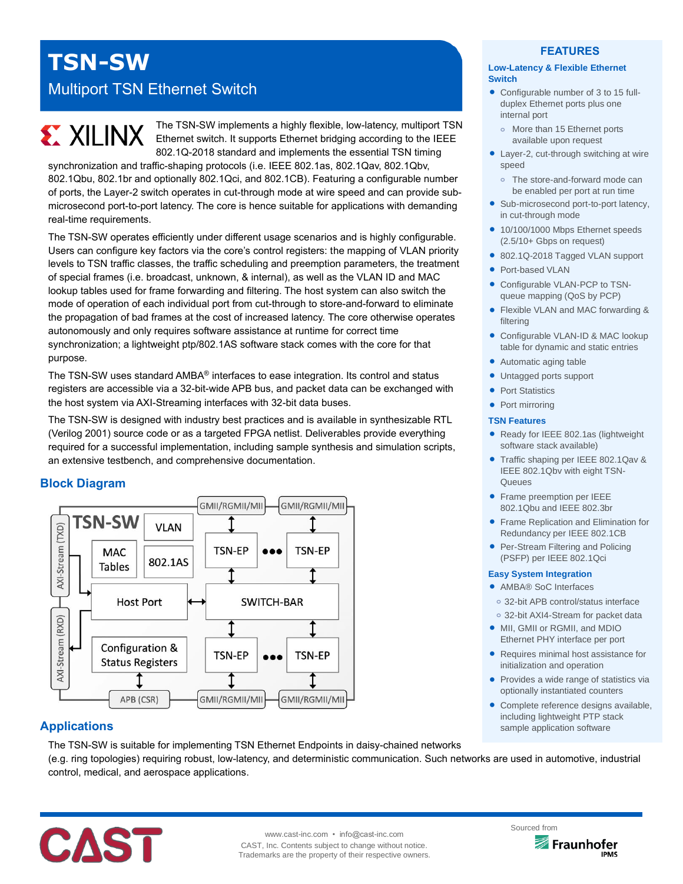## **TSN-SW**

### Multiport TSN Ethernet Switch

# **EXALINX**

The TSN-SW implements a highly flexible, low-latency, multiport TSN Ethernet switch. It supports Ethernet bridging according to the IEEE 802.1Q-2018 standard and implements the essential TSN timing

synchronization and traffic-shaping protocols (i.e. IEEE 802.1as, 802.1Qav, 802.1Qbv, 802.1Qbu, 802.1br and optionally 802.1Qci, and 802.1CB). Featuring a configurable number of ports, the Layer-2 switch operates in cut-through mode at wire speed and can provide submicrosecond port-to-port latency. The core is hence suitable for applications with demanding real-time requirements.

The TSN-SW operates efficiently under different usage scenarios and is highly configurable. Users can configure key factors via the core's control registers: the mapping of VLAN priority levels to TSN traffic classes, the traffic scheduling and preemption parameters, the treatment of special frames (i.e. broadcast, unknown, & internal), as well as the VLAN ID and MAC lookup tables used for frame forwarding and filtering. The host system can also switch the mode of operation of each individual port from cut-through to store-and-forward to eliminate the propagation of bad frames at the cost of increased latency. The core otherwise operates autonomously and only requires software assistance at runtime for correct time synchronization; a lightweight ptp/802.1AS software stack comes with the core for that purpose.

The TSN-SW uses standard AMBA® interfaces to ease integration. Its control and status registers are accessible via a 32-bit-wide APB bus, and packet data can be exchanged with the host system via AXI-Streaming interfaces with 32-bit data buses.

The TSN-SW is designed with industry best practices and is available in synthesizable RTL (Verilog 2001) source code or as a targeted FPGA netlist. Deliverables provide everything required for a successful implementation, including sample synthesis and simulation scripts, an extensive testbench, and comprehensive documentation.

#### **Block Diagram**



#### **Applications**

The TSN-SW is suitable for implementing TSN Ethernet Endpoints in daisy-chained networks (e.g. ring topologies) requiring robust, low-latency, and deterministic communication. Such networks are used in automotive, industrial control, medical, and aerospace applications.



#### **FEATURES**

#### **Low-Latency & Flexible Ethernet Switch**

- Configurable number of 3 to 15 fullduplex Ethernet ports plus one internal port
	- More than 15 Ethernet ports available upon request
- Layer-2, cut-through switching at wire speed
- **o** The store-and-forward mode can be enabled per port at run time
- Sub-microsecond port-to-port latency, in cut-through mode
- 10/100/1000 Mbps Ethernet speeds (2.5/10+ Gbps on request)
- 802.1Q-2018 Tagged VLAN support
- Port-based VLAN
- Configurable VLAN-PCP to TSNqueue mapping (QoS by PCP)
- Flexible VLAN and MAC forwarding & filtering
- Configurable VLAN-ID & MAC lookup table for dynamic and static entries
- Automatic aging table
- Untagged ports support
- Port Statistics
- Port mirroring

#### **TSN Features**

- Ready for IEEE 802.1as (lightweight software stack available)
- Traffic shaping per IEEE 802.1Qav & IEEE 802.1Qbv with eight TSN-**Queues**
- **•** Frame preemption per IEEE 802.1Qbu and IEEE 802.3br
- **Frame Replication and Elimination for** Redundancy per IEEE 802.1CB
- Per-Stream Filtering and Policing (PSFP) per IEEE 802.1Qci

#### **Easy System Integration**

- AMBA® SoC Interfaces
- **o** 32-bit APB control/status interface
- **o** 32-bit AXI4-Stream for packet data
- MII, GMII or RGMII, and MDIO Ethernet PHY interface per port
- Requires minimal host assistance for initialization and operation
- Provides a wide range of statistics via optionally instantiated counters
- Complete reference designs available, including lightweight PTP stack sample application software